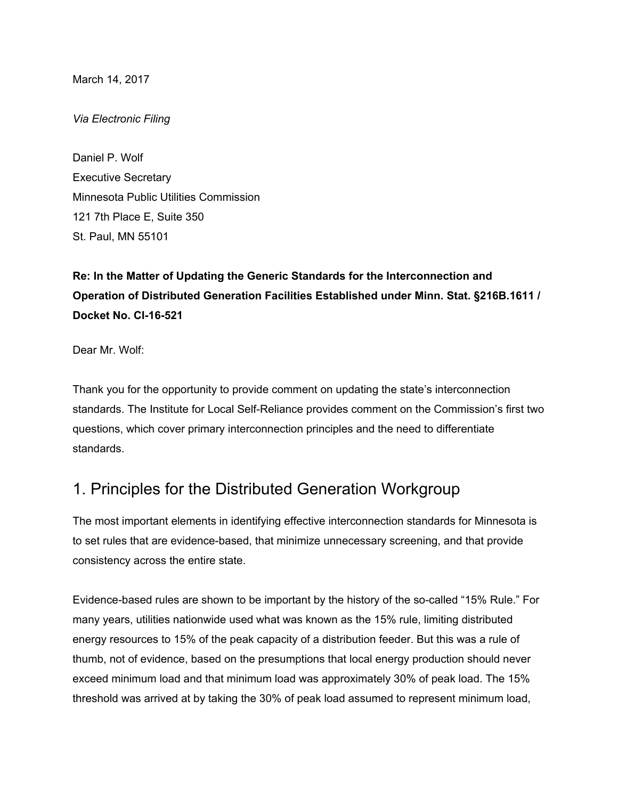March 14, 2017

*Via Electronic Filing*

Daniel P. Wolf Executive Secretary Minnesota Public Utilities Commission 121 7th Place E, Suite 350 St. Paul, MN 55101

**Re: In the Matter of Updating the Generic Standards for the Interconnection and Operation of Distributed Generation Facilities Established under Minn. Stat. §216B.1611 / Docket No. CI-16-521**

Dear Mr. Wolf:

Thank you for the opportunity to provide comment on updating the state's interconnection standards. The Institute for Local Self-Reliance provides comment on the Commission's first two questions, which cover primary interconnection principles and the need to differentiate standards.

## 1. Principles for the Distributed Generation Workgroup

The most important elements in identifying effective interconnection standards for Minnesota is to set rules that are evidence-based, that minimize unnecessary screening, and that provide consistency across the entire state.

Evidence-based rules are shown to be important by the history of the so-called "15% Rule." For many years, utilities nationwide used what was known as the 15% rule, limiting distributed energy resources to 15% of the peak capacity of a distribution feeder. But this was a rule of thumb, not of evidence, based on the presumptions that local energy production should never exceed minimum load and that minimum load was approximately 30% of peak load. The 15% threshold was arrived at by taking the 30% of peak load assumed to represent minimum load,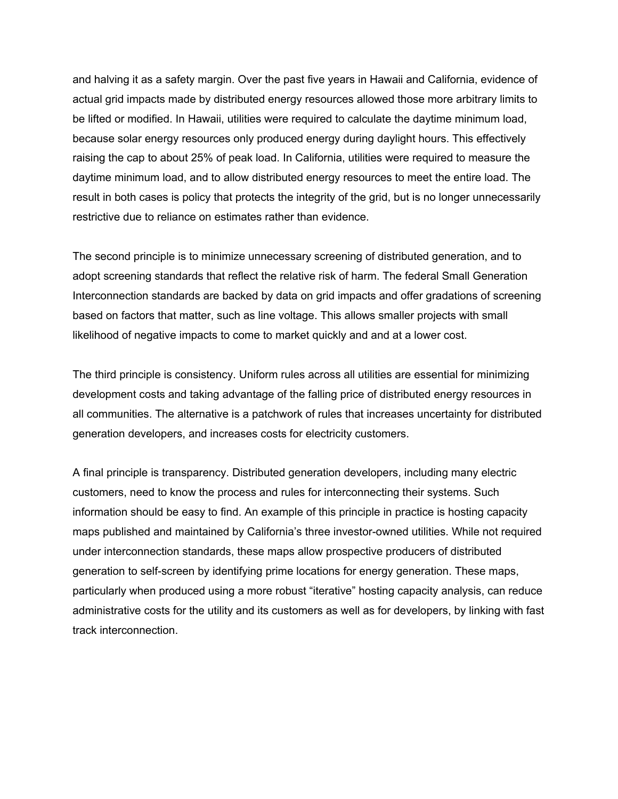and halving it as a safety margin. Over the past five years in Hawaii and California, evidence of actual grid impacts made by distributed energy resources allowed those more arbitrary limits to be lifted or modified. In Hawaii, utilities were required to calculate the daytime minimum load, because solar energy resources only produced energy during daylight hours. This effectively raising the cap to about 25% of peak load. In California, utilities were required to measure the daytime minimum load, and to allow distributed energy resources to meet the entire load. The result in both cases is policy that protects the integrity of the grid, but is no longer unnecessarily restrictive due to reliance on estimates rather than evidence.

The second principle is to minimize unnecessary screening of distributed generation, and to adopt screening standards that reflect the relative risk of harm. The federal Small Generation Interconnection standards are backed by data on grid impacts and offer gradations of screening based on factors that matter, such as line voltage. This allows smaller projects with small likelihood of negative impacts to come to market quickly and and at a lower cost.

The third principle is consistency. Uniform rules across all utilities are essential for minimizing development costs and taking advantage of the falling price of distributed energy resources in all communities. The alternative is a patchwork of rules that increases uncertainty for distributed generation developers, and increases costs for electricity customers.

A final principle is transparency. Distributed generation developers, including many electric customers, need to know the process and rules for interconnecting their systems. Such information should be easy to find. An example of this principle in practice is hosting capacity maps published and maintained by California's three investor-owned utilities. While not required under interconnection standards, these maps allow prospective producers of distributed generation to self-screen by identifying prime locations for energy generation. These maps, particularly when produced using a more robust "iterative" hosting capacity analysis, can reduce administrative costs for the utility and its customers as well as for developers, by linking with fast track interconnection.